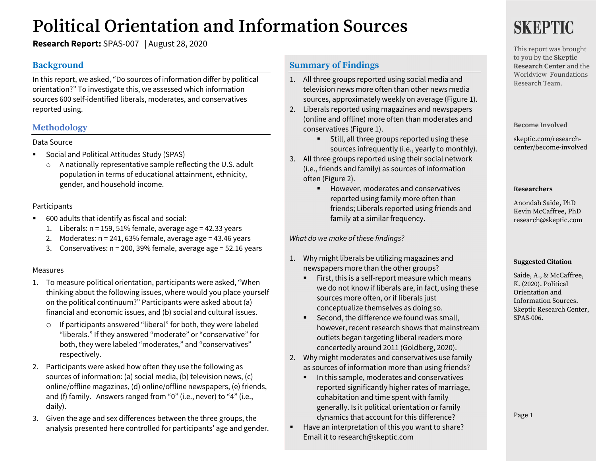# **Political Orientation and Information Sources**

**Research Report:** SPAS-007 | August 28, 2020

## **Background**

In this report, we asked, "Do sources of information differ by political orientation?" To investigate this, we assessed which information sources 600 self-identified liberals, moderates, and conservatives reported using.

## **Methodology**

### Data Source

- Social and Political Attitudes Study (SPAS)
	- o A nationally representative sample reflecting the U.S. adult population in terms of educational attainment, ethnicity, gender, and household income.

### Participants

- 600 adults that identify as fiscal and social:
	- 1. Liberals:  $n = 159, 51\%$  female, average age = 42.33 years
	- 2. Moderates:  $n = 241,63\%$  female, average age = 43.46 years
	- 3. Conservatives: n = 200, 39% female, average age = 52.16 years

### Measures

- 1. To measure political orientation, participants were asked, "When thinking about the following issues, where would you place yourself on the political continuum?" Participants were asked about (a) financial and economic issues, and (b) social and cultural issues.
	- o If participants answered "liberal" for both, they were labeled "liberals." If they answered "moderate" or "conservative" for both, they were labeled "moderates," and "conservatives" respectively.
- 2. Participants were asked how often they use the following as sources of information: (a) social media, (b) television news, (c) online/offline magazines, (d) online/offline newspapers, (e) friends, and (f) family. Answers ranged from "0" (i.e., never) to "4" (i.e., daily).
- 3. Given the age and sex differences between the three groups, the analysis presented here controlled for participants' age and gender.

## **Summary of Findings**

- 1. All three groups reported using social media and television news more often than other news media sources, approximately weekly on average (Figure 1).
- 2. Liberals reported using magazines and newspapers (online and offline) more often than moderates and conservatives (Figure 1).
	- Still, all three groups reported using these sources infrequently (i.e., yearly to monthly).
- 3. All three groups reported using their social network (i.e., friends and family) as sources of information often (Figure 2).
	- However, moderates and conservatives reported using family more often than friends; Liberals reported using friends and family at a similar frequency.

*What do we make of these findings?* 

- 1. Why might liberals be utilizing magazines and newspapers more than the other groups?
	- First, this is a self-report measure which means we do not know if liberals are, in fact, using these sources more often, or if liberals just conceptualize themselves as doing so.
	- Second, the difference we found was small, however, recent research shows that mainstream outlets began targeting liberal readers more concertedly around 2011 (Goldberg, 2020).
- 2. Why might moderates and conservatives use family as sources of information more than using friends?
	- In this sample, moderates and conservatives reported significantly higher rates of marriage, cohabitation and time spent with family generally. Is it political orientation or family dynamics that account for this difference?
- Have an interpretation of this you want to share? Email it to research@skeptic.com

# **SKEPTIC**

This report was brought to you by the **Skeptic Research Center** and the Worldview Foundations Research Team.

**Become Involved**

skeptic.com/researchcenter/become-involved

### **Researchers**

Anondah Saide, PhD Kevin McCaffree, PhD research@skeptic.com

### **Suggested Citation**

Saide, A., & McCaffree, K. (2020). Political Orientation and Information Sources. Skeptic Research Center, SPAS-006.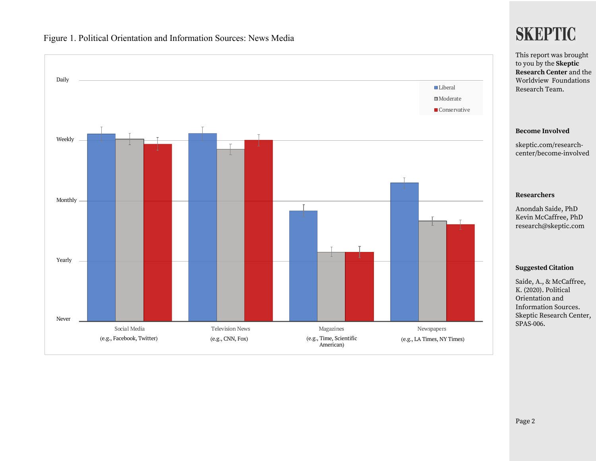



## **SKEPTIC**

Page 2